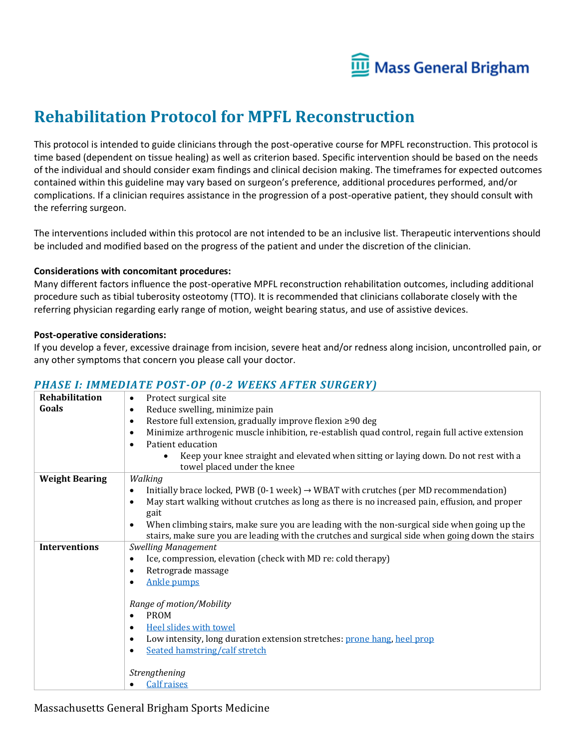

# **Rehabilitation Protocol for MPFL Reconstruction**

This protocol is intended to guide clinicians through the post-operative course for MPFL reconstruction. This protocol is time based (dependent on tissue healing) as well as criterion based. Specific intervention should be based on the needs of the individual and should consider exam findings and clinical decision making. The timeframes for expected outcomes contained within this guideline may vary based on surgeon's preference, additional procedures performed, and/or complications. If a clinician requires assistance in the progression of a post-operative patient, they should consult with the referring surgeon.

The interventions included within this protocol are not intended to be an inclusive list. Therapeutic interventions should be included and modified based on the progress of the patient and under the discretion of the clinician.

#### **Considerations with concomitant procedures:**

Many different factors influence the post-operative MPFL reconstruction rehabilitation outcomes, including additional procedure such as tibial tuberosity osteotomy (TTO). It is recommended that clinicians collaborate closely with the referring physician regarding early range of motion, weight bearing status, and use of assistive devices.

#### **Post-operative considerations:**

If you develop a fever, excessive drainage from incision, severe heat and/or redness along incision, uncontrolled pain, or any other symptoms that concern you please call your doctor.

#### *PHASE I: IMMEDIATE POST-OP (0-2 WEEKS AFTER SURGERY)*

| Rehabilitation        | Protect surgical site<br>$\bullet$                                                                           |
|-----------------------|--------------------------------------------------------------------------------------------------------------|
| Goals                 | Reduce swelling, minimize pain<br>$\bullet$                                                                  |
|                       | Restore full extension, gradually improve flexion ≥90 deg<br>$\bullet$                                       |
|                       | Minimize arthrogenic muscle inhibition, re-establish quad control, regain full active extension<br>$\bullet$ |
|                       | Patient education<br>$\bullet$                                                                               |
|                       | Keep your knee straight and elevated when sitting or laying down. Do not rest with a<br>$\bullet$            |
|                       | towel placed under the knee                                                                                  |
| <b>Weight Bearing</b> | Walking                                                                                                      |
|                       | Initially brace locked, PWB (0-1 week) $\rightarrow$ WBAT with crutches (per MD recommendation)<br>$\bullet$ |
|                       | May start walking without crutches as long as there is no increased pain, effusion, and proper<br>$\bullet$  |
|                       | gait                                                                                                         |
|                       | When climbing stairs, make sure you are leading with the non-surgical side when going up the<br>$\bullet$    |
|                       | stairs, make sure you are leading with the crutches and surgical side when going down the stairs             |
| <b>Interventions</b>  | <b>Swelling Management</b>                                                                                   |
|                       | Ice, compression, elevation (check with MD re: cold therapy)<br>$\bullet$                                    |
|                       | Retrograde massage<br>$\bullet$                                                                              |
|                       | <b>Ankle pumps</b><br>$\bullet$                                                                              |
|                       |                                                                                                              |
|                       | Range of motion/Mobility                                                                                     |
|                       | <b>PROM</b><br>$\bullet$                                                                                     |
|                       | Heel slides with towel<br>$\bullet$                                                                          |
|                       | Low intensity, long duration extension stretches: prone hang, heel prop<br>$\epsilon$                        |
|                       | Seated hamstring/calf stretch<br>$\bullet$                                                                   |
|                       |                                                                                                              |
|                       | Strengthening                                                                                                |
|                       | <b>Calf raises</b><br>$\bullet$                                                                              |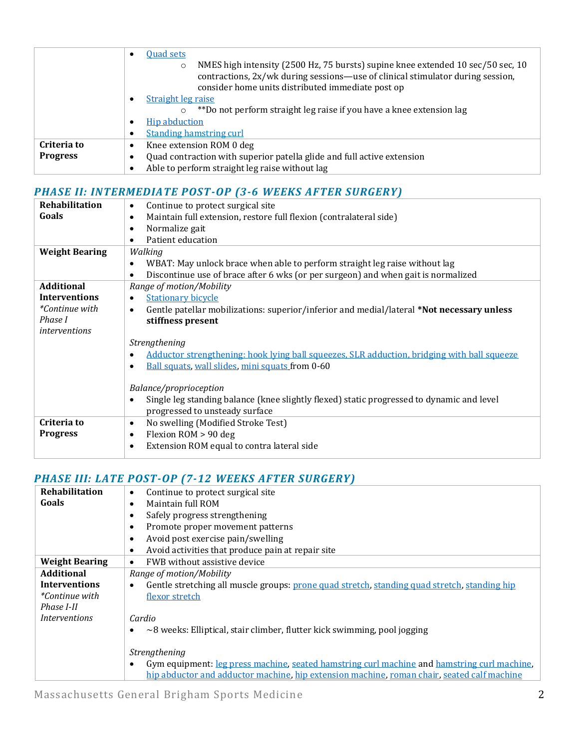|                 | <b>Quad sets</b><br>$\bullet$                                                                                                                                                                                                     |  |  |  |  |  |  |  |
|-----------------|-----------------------------------------------------------------------------------------------------------------------------------------------------------------------------------------------------------------------------------|--|--|--|--|--|--|--|
|                 | NMES high intensity (2500 Hz, 75 bursts) supine knee extended 10 sec/50 sec, 10<br>$\circ$<br>contractions, 2x/wk during sessions—use of clinical stimulator during session,<br>consider home units distributed immediate post op |  |  |  |  |  |  |  |
|                 | <b>Straight leg raise</b><br>٠                                                                                                                                                                                                    |  |  |  |  |  |  |  |
|                 | **Do not perform straight leg raise if you have a knee extension lag<br>O                                                                                                                                                         |  |  |  |  |  |  |  |
|                 | <b>Hip abduction</b><br>٠                                                                                                                                                                                                         |  |  |  |  |  |  |  |
|                 | <b>Standing hamstring curl</b><br>٠                                                                                                                                                                                               |  |  |  |  |  |  |  |
| Criteria to     | Knee extension ROM 0 deg<br>٠                                                                                                                                                                                                     |  |  |  |  |  |  |  |
| <b>Progress</b> | Quad contraction with superior patella glide and full active extension<br>٠                                                                                                                                                       |  |  |  |  |  |  |  |
|                 | Able to perform straight leg raise without lag<br>$\bullet$                                                                                                                                                                       |  |  |  |  |  |  |  |

## *PHASE II: INTERMEDIATE POST-OP (3-6 WEEKS AFTER SURGERY)*

| Rehabilitation        | Continue to protect surgical site<br>$\bullet$                                                         |  |  |  |  |  |  |  |
|-----------------------|--------------------------------------------------------------------------------------------------------|--|--|--|--|--|--|--|
| Goals                 | Maintain full extension, restore full flexion (contralateral side)<br>$\bullet$                        |  |  |  |  |  |  |  |
|                       | Normalize gait<br>$\bullet$                                                                            |  |  |  |  |  |  |  |
|                       | Patient education<br>$\bullet$                                                                         |  |  |  |  |  |  |  |
| <b>Weight Bearing</b> | Walking                                                                                                |  |  |  |  |  |  |  |
|                       | WBAT: May unlock brace when able to perform straight leg raise without lag<br>$\bullet$                |  |  |  |  |  |  |  |
|                       | Discontinue use of brace after 6 wks (or per surgeon) and when gait is normalized<br>$\bullet$         |  |  |  |  |  |  |  |
| <b>Additional</b>     | Range of motion/Mobility                                                                               |  |  |  |  |  |  |  |
| Interventions         | <b>Stationary bicycle</b><br>$\bullet$                                                                 |  |  |  |  |  |  |  |
| <i>*Continue with</i> | Gentle patellar mobilizations: superior/inferior and medial/lateral *Not necessary unless<br>$\bullet$ |  |  |  |  |  |  |  |
| Phase I               | stiffness present                                                                                      |  |  |  |  |  |  |  |
| <i>interventions</i>  |                                                                                                        |  |  |  |  |  |  |  |
|                       | Strengthening                                                                                          |  |  |  |  |  |  |  |
|                       | Adductor strengthening: hook lying ball squeezes, SLR adduction, bridging with ball squeeze            |  |  |  |  |  |  |  |
|                       | Ball squats, wall slides, mini squats from 0-60<br>$\bullet$                                           |  |  |  |  |  |  |  |
|                       |                                                                                                        |  |  |  |  |  |  |  |
|                       | Balance/proprioception                                                                                 |  |  |  |  |  |  |  |
|                       | Single leg standing balance (knee slightly flexed) static progressed to dynamic and level<br>$\bullet$ |  |  |  |  |  |  |  |
|                       | progressed to unsteady surface                                                                         |  |  |  |  |  |  |  |
| Criteria to           | No swelling (Modified Stroke Test)<br>$\bullet$                                                        |  |  |  |  |  |  |  |
| <b>Progress</b>       | Flexion ROM > 90 deg<br>$\bullet$                                                                      |  |  |  |  |  |  |  |
|                       | Extension ROM equal to contra lateral side<br>$\bullet$                                                |  |  |  |  |  |  |  |
|                       |                                                                                                        |  |  |  |  |  |  |  |

## *PHASE III: LATE POST-OP (7-12 WEEKS AFTER SURGERY)*

| Rehabilitation        | Continue to protect surgical site<br>$\bullet$                                                            |  |  |  |  |  |  |  |
|-----------------------|-----------------------------------------------------------------------------------------------------------|--|--|--|--|--|--|--|
| Goals                 | Maintain full ROM<br>$\bullet$                                                                            |  |  |  |  |  |  |  |
|                       | Safely progress strengthening<br>$\bullet$                                                                |  |  |  |  |  |  |  |
|                       | Promote proper movement patterns<br>$\bullet$                                                             |  |  |  |  |  |  |  |
|                       | Avoid post exercise pain/swelling<br>$\bullet$                                                            |  |  |  |  |  |  |  |
|                       | Avoid activities that produce pain at repair site<br>$\bullet$                                            |  |  |  |  |  |  |  |
| <b>Weight Bearing</b> | FWB without assistive device<br>$\bullet$                                                                 |  |  |  |  |  |  |  |
| <b>Additional</b>     | Range of motion/Mobility                                                                                  |  |  |  |  |  |  |  |
| <b>Interventions</b>  | Gentle stretching all muscle groups: prone quad stretch, standing quad stretch, standing hip<br>$\bullet$ |  |  |  |  |  |  |  |
| <i>*Continue with</i> | flexor stretch                                                                                            |  |  |  |  |  |  |  |
| Phase I-II            |                                                                                                           |  |  |  |  |  |  |  |
| <i>Interventions</i>  | Cardio                                                                                                    |  |  |  |  |  |  |  |
|                       | $\sim$ 8 weeks: Elliptical, stair climber, flutter kick swimming, pool jogging<br>$\bullet$               |  |  |  |  |  |  |  |
|                       |                                                                                                           |  |  |  |  |  |  |  |
|                       | Strengthening                                                                                             |  |  |  |  |  |  |  |
|                       | Gym equipment: leg press machine, seated hamstring curl machine and hamstring curl machine,<br>$\bullet$  |  |  |  |  |  |  |  |
|                       | hip abductor and adductor machine, hip extension machine, roman chair, seated calf machine                |  |  |  |  |  |  |  |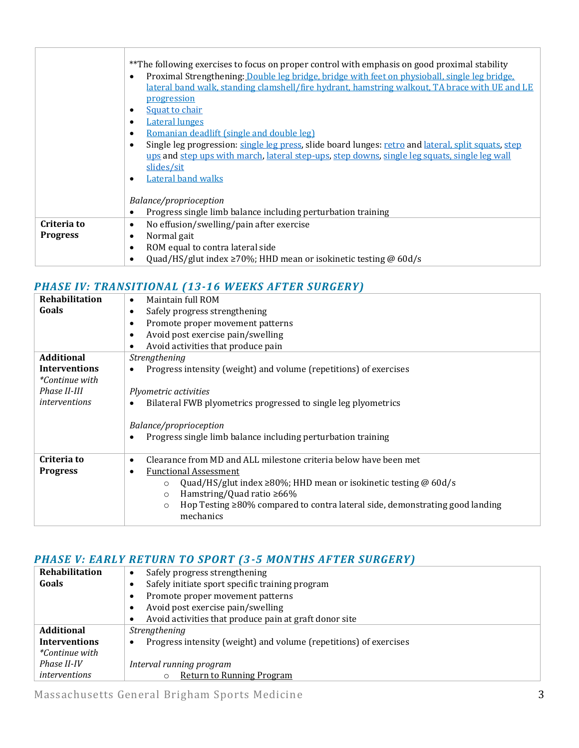|                 | **The following exercises to focus on proper control with emphasis on good proximal stability<br>Proximal Strengthening: Double leg bridge, bridge with feet on physioball, single leg bridge.<br>$\bullet$<br>lateral band walk, standing clamshell/fire hydrant, hamstring walkout, TA brace with UE and LE |  |  |  |  |  |  |  |
|-----------------|---------------------------------------------------------------------------------------------------------------------------------------------------------------------------------------------------------------------------------------------------------------------------------------------------------------|--|--|--|--|--|--|--|
|                 | <b>progression</b><br>Squat to chair<br>$\bullet$                                                                                                                                                                                                                                                             |  |  |  |  |  |  |  |
|                 | <b>Lateral lunges</b><br>٠                                                                                                                                                                                                                                                                                    |  |  |  |  |  |  |  |
|                 | Romanian deadlift (single and double leg)<br>$\bullet$                                                                                                                                                                                                                                                        |  |  |  |  |  |  |  |
|                 | Single leg progression: single leg press, slide board lunges: retro and lateral, split squats, step<br>$\bullet$                                                                                                                                                                                              |  |  |  |  |  |  |  |
|                 | ups and step ups with march, lateral step-ups, step downs, single leg squats, single leg wall                                                                                                                                                                                                                 |  |  |  |  |  |  |  |
|                 | slides/sit                                                                                                                                                                                                                                                                                                    |  |  |  |  |  |  |  |
|                 | <b>Lateral band walks</b><br>$\bullet$                                                                                                                                                                                                                                                                        |  |  |  |  |  |  |  |
|                 |                                                                                                                                                                                                                                                                                                               |  |  |  |  |  |  |  |
|                 | Balance/proprioception                                                                                                                                                                                                                                                                                        |  |  |  |  |  |  |  |
|                 | Progress single limb balance including perturbation training<br>٠                                                                                                                                                                                                                                             |  |  |  |  |  |  |  |
| Criteria to     | No effusion/swelling/pain after exercise<br>$\bullet$                                                                                                                                                                                                                                                         |  |  |  |  |  |  |  |
| <b>Progress</b> | Normal gait<br>$\bullet$                                                                                                                                                                                                                                                                                      |  |  |  |  |  |  |  |
|                 | ROM equal to contra lateral side<br>$\bullet$                                                                                                                                                                                                                                                                 |  |  |  |  |  |  |  |
|                 | Quad/HS/glut index $\geq 70\%$ ; HHD mean or isokinetic testing @ 60d/s<br>$\bullet$                                                                                                                                                                                                                          |  |  |  |  |  |  |  |

## *PHASE IV: TRANSITIONAL (13-16 WEEKS AFTER SURGERY)*

| <b>Rehabilitation</b> | Maintain full ROM<br>$\bullet$                                                                 |  |  |  |  |  |  |  |
|-----------------------|------------------------------------------------------------------------------------------------|--|--|--|--|--|--|--|
| Goals                 | Safely progress strengthening<br>٠                                                             |  |  |  |  |  |  |  |
|                       | Promote proper movement patterns<br>٠                                                          |  |  |  |  |  |  |  |
|                       | Avoid post exercise pain/swelling<br>$\epsilon$                                                |  |  |  |  |  |  |  |
|                       | Avoid activities that produce pain<br>٠                                                        |  |  |  |  |  |  |  |
| <b>Additional</b>     | Strengthening                                                                                  |  |  |  |  |  |  |  |
| <b>Interventions</b>  | Progress intensity (weight) and volume (repetitions) of exercises                              |  |  |  |  |  |  |  |
| <i>*Continue with</i> |                                                                                                |  |  |  |  |  |  |  |
| Phase II-III          | Plyometric activities                                                                          |  |  |  |  |  |  |  |
| <i>interventions</i>  | Bilateral FWB plyometrics progressed to single leg plyometrics                                 |  |  |  |  |  |  |  |
|                       |                                                                                                |  |  |  |  |  |  |  |
|                       | Balance/proprioception                                                                         |  |  |  |  |  |  |  |
|                       | Progress single limb balance including perturbation training<br>$\bullet$                      |  |  |  |  |  |  |  |
|                       |                                                                                                |  |  |  |  |  |  |  |
| Criteria to           | Clearance from MD and ALL milestone criteria below have been met<br>$\bullet$                  |  |  |  |  |  |  |  |
| <b>Progress</b>       | <b>Functional Assessment</b><br>٠                                                              |  |  |  |  |  |  |  |
|                       | Quad/HS/glut index $\geq$ 80%; HHD mean or isokinetic testing @ 60d/s<br>$\circ$               |  |  |  |  |  |  |  |
|                       | Hamstring/Quad ratio $\geq 66\%$<br>$\circ$                                                    |  |  |  |  |  |  |  |
|                       | Hop Testing $\geq 80\%$ compared to contra lateral side, demonstrating good landing<br>$\circ$ |  |  |  |  |  |  |  |
|                       | mechanics                                                                                      |  |  |  |  |  |  |  |
|                       |                                                                                                |  |  |  |  |  |  |  |

## *PHASE V: EARLY RETURN TO SPORT (3-5 MONTHS AFTER SURGERY)*

| Rehabilitation        | Safely progress strengthening<br>$\bullet$                                     |  |  |  |  |  |  |  |
|-----------------------|--------------------------------------------------------------------------------|--|--|--|--|--|--|--|
| Goals                 | Safely initiate sport specific training program<br>٠                           |  |  |  |  |  |  |  |
|                       | Promote proper movement patterns<br>$\bullet$                                  |  |  |  |  |  |  |  |
|                       | Avoid post exercise pain/swelling<br>$\bullet$                                 |  |  |  |  |  |  |  |
|                       | Avoid activities that produce pain at graft donor site<br>$\bullet$            |  |  |  |  |  |  |  |
| <b>Additional</b>     | Strengthening                                                                  |  |  |  |  |  |  |  |
| <b>Interventions</b>  | Progress intensity (weight) and volume (repetitions) of exercises<br>$\bullet$ |  |  |  |  |  |  |  |
| <i>*Continue with</i> |                                                                                |  |  |  |  |  |  |  |
| Phase II-IV           | Interval running program                                                       |  |  |  |  |  |  |  |
| <i>interventions</i>  | <b>Return to Running Program</b><br>$\circ$                                    |  |  |  |  |  |  |  |

Massachusetts General Brigham Sports Medicine 3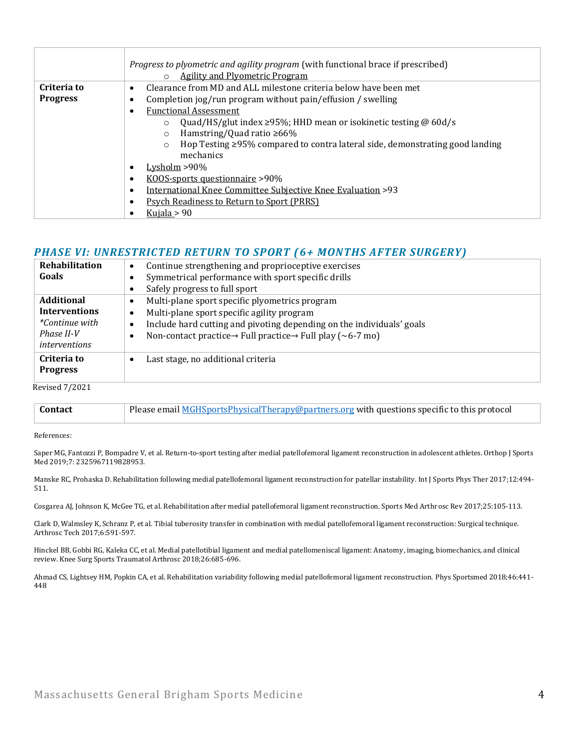|                 | Progress to plyometric and agility program (with functional brace if prescribed)<br><b>Agility and Plyometric Program</b><br>$\circ$ |  |  |  |  |  |  |
|-----------------|--------------------------------------------------------------------------------------------------------------------------------------|--|--|--|--|--|--|
| Criteria to     | Clearance from MD and ALL milestone criteria below have been met<br>$\bullet$                                                        |  |  |  |  |  |  |
| <b>Progress</b> | Completion jog/run program without pain/effusion / swelling<br>٠                                                                     |  |  |  |  |  |  |
|                 | <b>Functional Assessment</b>                                                                                                         |  |  |  |  |  |  |
|                 | Quad/HS/glut index $\geq$ 95%; HHD mean or isokinetic testing @ 60d/s<br>$\circ$                                                     |  |  |  |  |  |  |
|                 | Hamstring/Quad ratio $\geq 66\%$<br>$\circ$                                                                                          |  |  |  |  |  |  |
|                 | Hop Testing $\geq$ 95% compared to contra lateral side, demonstrating good landing<br>$\circ$                                        |  |  |  |  |  |  |
|                 | mechanics                                                                                                                            |  |  |  |  |  |  |
|                 | Lysholm $>90\%$<br>$\bullet$                                                                                                         |  |  |  |  |  |  |
|                 | KOOS-sports questionnaire >90%<br>$\bullet$                                                                                          |  |  |  |  |  |  |
|                 | International Knee Committee Subjective Knee Evaluation >93<br>$\bullet$                                                             |  |  |  |  |  |  |
|                 | <b>Psych Readiness to Return to Sport (PRRS)</b><br>$\bullet$                                                                        |  |  |  |  |  |  |
|                 | Kujala $> 90$                                                                                                                        |  |  |  |  |  |  |

#### *PHASE VI: UNRESTRICTED RETURN TO SPORT (6+ MONTHS AFTER SURGERY)*

| Rehabilitation        | Continue strengthening and proprioceptive exercises<br>$\bullet$                               |  |  |  |  |  |
|-----------------------|------------------------------------------------------------------------------------------------|--|--|--|--|--|
| Goals                 | Symmetrical performance with sport specific drills<br>٠                                        |  |  |  |  |  |
|                       | Safely progress to full sport<br>٠                                                             |  |  |  |  |  |
| <b>Additional</b>     | Multi-plane sport specific plyometrics program<br>$\bullet$                                    |  |  |  |  |  |
| <b>Interventions</b>  | Multi-plane sport specific agility program<br>$\bullet$                                        |  |  |  |  |  |
| <i>*Continue with</i> | Include hard cutting and pivoting depending on the individuals' goals<br>٠                     |  |  |  |  |  |
| Phase II-V            | Non-contact practice $\rightarrow$ Full practice $\rightarrow$ Full play ( $\sim$ 6-7 mo)<br>٠ |  |  |  |  |  |
| interventions         |                                                                                                |  |  |  |  |  |
| Criteria to           | Last stage, no additional criteria<br>٠                                                        |  |  |  |  |  |
| <b>Progress</b>       |                                                                                                |  |  |  |  |  |
| <b>Revised 7/2021</b> |                                                                                                |  |  |  |  |  |
|                       |                                                                                                |  |  |  |  |  |

| Contact | Please email MGHSportsPhysicalTherapy@partners.org with questions specific to this protocol |
|---------|---------------------------------------------------------------------------------------------|
|         |                                                                                             |

References:

Saper MG, Fantozzi P, Bompadre V, et al. Return-to-sport testing after medial patellofemoral ligament reconstruction in adolescent athletes. Orthop J Sports Med 2019;7: 2325967119828953.

Manske RC, Prohaska D. Rehabilitation following medial patellofemoral ligament reconstruction for patellar instability. Int J Sports Phys Ther 2017;12:494- 511.

Cosgarea AJ, Johnson K, McGee TG, et al. Rehabilitation after medial patellofemoral ligament reconstruction. Sports Med Arthrosc Rev 2017;25:105-113.

Clark D, Walmsley K, Schranz P, et al. Tibial tuberosity transfer in combination with medial patellofemoral ligament reconstruction: Surgical technique. Arthrosc Tech 2017;6:591-597.

Hinckel BB, Gobbi RG, Kaleka CC, et al. Medial patellotibial ligament and medial patellomeniscal ligament: Anatomy, imaging, biomechanics, and clinical review. Knee Surg Sports Traumatol Arthrosc 2018;26:685-696.

Ahmad CS, Lightsey HM, Popkin CA, et al. Rehabilitation variability following medial patellofemoral ligament reconstruction. Phys Sportsmed 2018;46:441- 448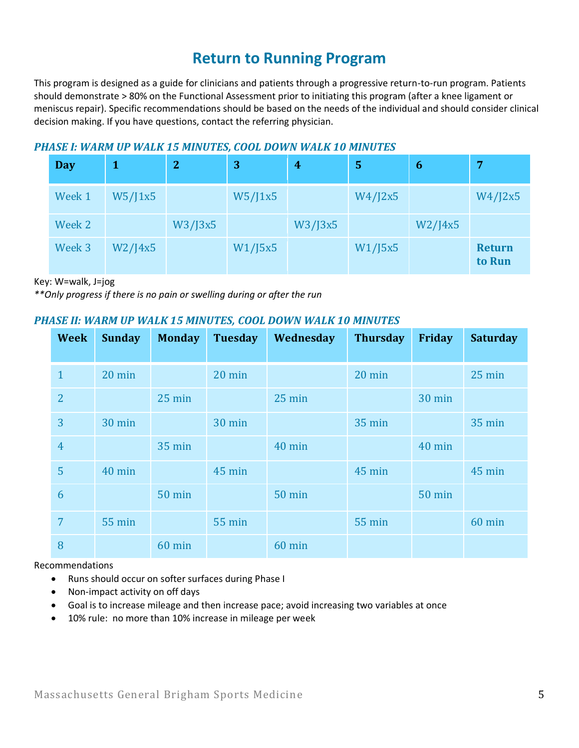## **Return to Running Program**

This program is designed as a guide for clinicians and patients through a progressive return-to-run program. Patients should demonstrate > 80% on the Functional Assessment prior to initiating this program (after a knee ligament or meniscus repair). Specific recommendations should be based on the needs of the individual and should consider clinical decision making. If you have questions, contact the referring physician.

### *PHASE I: WARM UP WALK 15 MINUTES, COOL DOWN WALK 10 MINUTES*

| <b>Day</b> |               | $\overline{2}$ | 3       | $\boldsymbol{4}$ | 5       | 6             | 7                       |
|------------|---------------|----------------|---------|------------------|---------|---------------|-------------------------|
| Week 1     | W5/J1x5       |                | W5/J1x5 |                  | W4/J2x5 |               | W4/J2x5                 |
| Week 2     |               | W3/J3x5        |         | W3/J3x5          |         | $W2$ /J $4x5$ |                         |
| Week 3     | $W2$ /J $4x5$ |                | W1/J5x5 |                  | W1/J5x5 |               | <b>Return</b><br>to Run |

Key: W=walk, J=jog

*\*\*Only progress if there is no pain or swelling during or after the run*

### *PHASE II: WARM UP WALK 15 MINUTES, COOL DOWN WALK 10 MINUTES*

| <b>Week</b>    | <b>Sunday</b>    | <b>Monday</b> | <b>Tuesday</b> | Wednesday     | <b>Thursday</b>  | Friday        | <b>Saturday</b>  |
|----------------|------------------|---------------|----------------|---------------|------------------|---------------|------------------|
| $\mathbf{1}$   | $20 \text{ min}$ |               | 20 min         |               | $20 \text{ min}$ |               | $25 \text{ min}$ |
| $\overline{2}$ |                  | $25$ min      |                | 25 min        |                  | 30 min        |                  |
| 3              | 30 min           |               | 30 min         |               | <b>35 min</b>    |               | <b>35 min</b>    |
| $\overline{4}$ |                  | <b>35 min</b> |                | 40 min        |                  | 40 min        |                  |
| 5              | 40 min           |               | 45 min         |               | 45 min           |               | 45 min           |
| 6              |                  | <b>50 min</b> |                | <b>50 min</b> |                  | <b>50 min</b> |                  |
| $\overline{7}$ | 55 min           |               | 55 min         |               | <b>55 min</b>    |               | 60 min           |
| 8              |                  | 60 min        |                | 60 min        |                  |               |                  |

Recommendations

- Runs should occur on softer surfaces during Phase I
- Non-impact activity on off days
- Goal is to increase mileage and then increase pace; avoid increasing two variables at once
- 10% rule: no more than 10% increase in mileage per week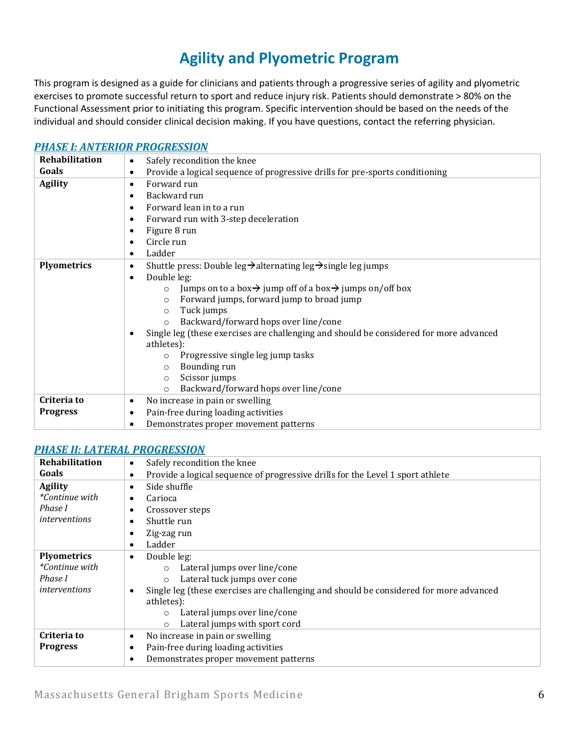# **Agility and Plyometric Program**

This program is designed as a guide for clinicians and patients through a progressive series of agility and plyometric exercises to promote successful return to sport and reduce injury risk. Patients should demonstrate > 80% on the Functional Assessment prior to initiating this program. Specific intervention should be based on the needs of the individual and should consider clinical decision making. If you have questions, contact the referring physician.

#### *[PHASE I: ANTERIOR PROGRESSION](https://www.youtube.com/watch?v=dFcVIcLOTb8&list=PLLj8wKd0c1Gw61RvQr1ptMtb1Z8HmL4tm)*

| <b>Rehabilitation</b> | Safely recondition the knee<br>$\bullet$                                                                                                                                                                                                                                                                                                                                                                                                                                                                                                                                                                                                           |
|-----------------------|----------------------------------------------------------------------------------------------------------------------------------------------------------------------------------------------------------------------------------------------------------------------------------------------------------------------------------------------------------------------------------------------------------------------------------------------------------------------------------------------------------------------------------------------------------------------------------------------------------------------------------------------------|
| Goals                 | Provide a logical sequence of progressive drills for pre-sports conditioning<br>$\bullet$                                                                                                                                                                                                                                                                                                                                                                                                                                                                                                                                                          |
| <b>Agility</b>        | Forward run<br>$\bullet$<br>Backward run<br>$\bullet$<br>Forward lean in to a run<br>٠<br>Forward run with 3-step deceleration<br>$\bullet$<br>Figure 8 run<br>٠<br>Circle run<br>٠<br>Ladder<br>$\bullet$                                                                                                                                                                                                                                                                                                                                                                                                                                         |
| <b>Plyometrics</b>    | Shuttle press: Double leg $\rightarrow$ alternating leg $\rightarrow$ single leg jumps<br>$\bullet$<br>Double leg:<br>$\bullet$<br>Jumps on to a box $\rightarrow$ jump off of a box $\rightarrow$ jumps on/off box<br>$\circ$<br>Forward jumps, forward jump to broad jump<br>$\circ$<br>Tuck jumps<br>$\circ$<br>Backward/forward hops over line/cone<br>$\circ$<br>Single leg (these exercises are challenging and should be considered for more advanced<br>$\bullet$<br>athletes):<br>Progressive single leg jump tasks<br>$\circ$<br>Bounding run<br>$\circ$<br>Scissor jumps<br>$\circ$<br>Backward/forward hops over line/cone<br>$\Omega$ |
| Criteria to           | No increase in pain or swelling<br>٠                                                                                                                                                                                                                                                                                                                                                                                                                                                                                                                                                                                                               |
| <b>Progress</b>       | Pain-free during loading activities<br>٠                                                                                                                                                                                                                                                                                                                                                                                                                                                                                                                                                                                                           |
|                       | Demonstrates proper movement patterns<br>$\bullet$                                                                                                                                                                                                                                                                                                                                                                                                                                                                                                                                                                                                 |

#### *[PHASE II: LATERAL PROGRESSION](https://www.youtube.com/watch?v=TQfwZ_Mimxs&list=PLLj8wKd0c1Gy1Zo9wk5p6zPWPA6OOKPHP)*

| Rehabilitation                                                          | Safely recondition the knee<br>$\bullet$                                                                                                                                                                                                                                                                                   |
|-------------------------------------------------------------------------|----------------------------------------------------------------------------------------------------------------------------------------------------------------------------------------------------------------------------------------------------------------------------------------------------------------------------|
| Goals                                                                   | Provide a logical sequence of progressive drills for the Level 1 sport athlete<br>$\bullet$                                                                                                                                                                                                                                |
| <b>Agility</b><br><i>*Continue with</i><br>Phase I<br>interventions     | Side shuffle<br>$\bullet$<br>Carioca<br>٠<br>Crossover steps<br>$\bullet$<br>Shuttle run<br>٠<br>Zig-zag run<br>$\bullet$<br>Ladder<br>$\bullet$                                                                                                                                                                           |
| <b>Plyometrics</b><br>*Continue with<br>Phase I<br><i>interventions</i> | Double leg:<br>$\bullet$<br>Lateral jumps over line/cone<br>$\circ$<br>Lateral tuck jumps over cone<br>$\circ$<br>Single leg (these exercises are challenging and should be considered for more advanced<br>$\bullet$<br>athletes):<br>Lateral jumps over line/cone<br>$\circ$<br>Lateral jumps with sport cord<br>$\circ$ |
| Criteria to<br><b>Progress</b>                                          | No increase in pain or swelling<br>$\bullet$<br>Pain-free during loading activities<br>$\bullet$<br>Demonstrates proper movement patterns<br>$\bullet$                                                                                                                                                                     |